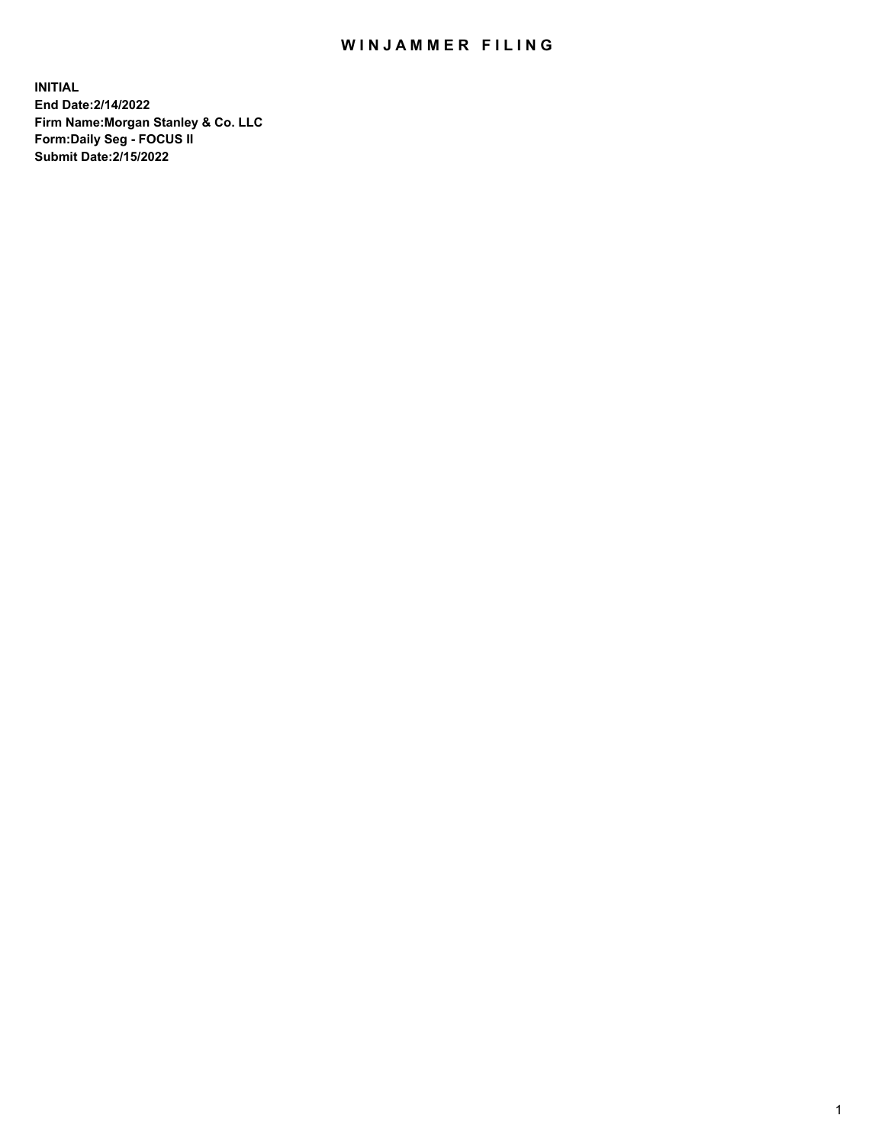## WIN JAMMER FILING

**INITIAL End Date:2/14/2022 Firm Name:Morgan Stanley & Co. LLC Form:Daily Seg - FOCUS II Submit Date:2/15/2022**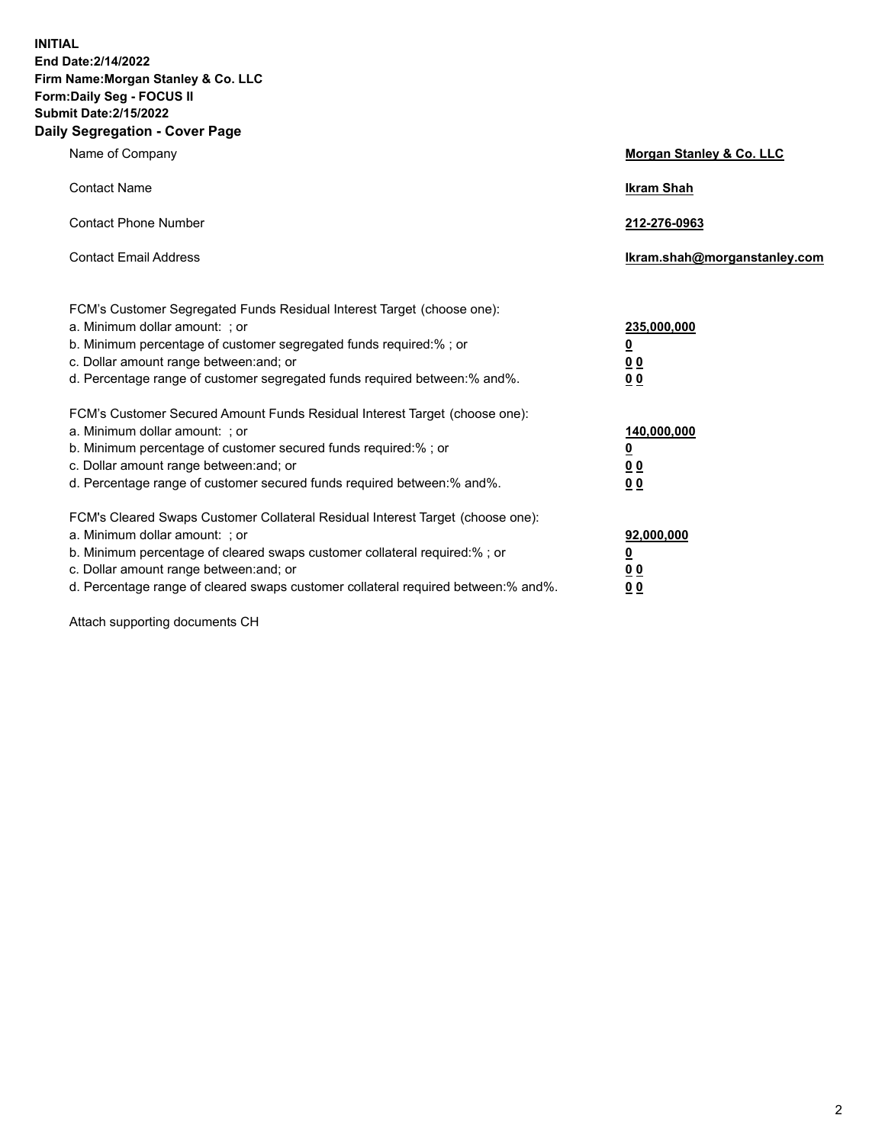**INITIAL End Date:2/14/2022 Firm Name:Morgan Stanley & Co. LLC Form:Daily Seg - FOCUS II Submit Date:2/15/2022 Daily Segregation - Cover Page**

| Name of Company                                                                                                                                                                                                                                                                                                                | <b>Morgan Stanley &amp; Co. LLC</b>                    |
|--------------------------------------------------------------------------------------------------------------------------------------------------------------------------------------------------------------------------------------------------------------------------------------------------------------------------------|--------------------------------------------------------|
| <b>Contact Name</b>                                                                                                                                                                                                                                                                                                            | <b>Ikram Shah</b>                                      |
| <b>Contact Phone Number</b>                                                                                                                                                                                                                                                                                                    | 212-276-0963                                           |
| <b>Contact Email Address</b>                                                                                                                                                                                                                                                                                                   | Ikram.shah@morganstanley.com                           |
| FCM's Customer Segregated Funds Residual Interest Target (choose one):<br>a. Minimum dollar amount: : or<br>b. Minimum percentage of customer segregated funds required:%; or<br>c. Dollar amount range between: and; or<br>d. Percentage range of customer segregated funds required between:% and%.                          | 235,000,000<br><u>0</u><br><u>00</u><br><u>00</u>      |
| FCM's Customer Secured Amount Funds Residual Interest Target (choose one):<br>a. Minimum dollar amount: ; or<br>b. Minimum percentage of customer secured funds required:%; or<br>c. Dollar amount range between: and; or<br>d. Percentage range of customer secured funds required between:% and%.                            | 140,000,000<br><u>0</u><br><u>00</u><br>0 <sub>0</sub> |
| FCM's Cleared Swaps Customer Collateral Residual Interest Target (choose one):<br>a. Minimum dollar amount: ; or<br>b. Minimum percentage of cleared swaps customer collateral required:% ; or<br>c. Dollar amount range between: and; or<br>d. Percentage range of cleared swaps customer collateral required between:% and%. | 92,000,000<br><u>0</u><br><u>00</u><br>00              |

Attach supporting documents CH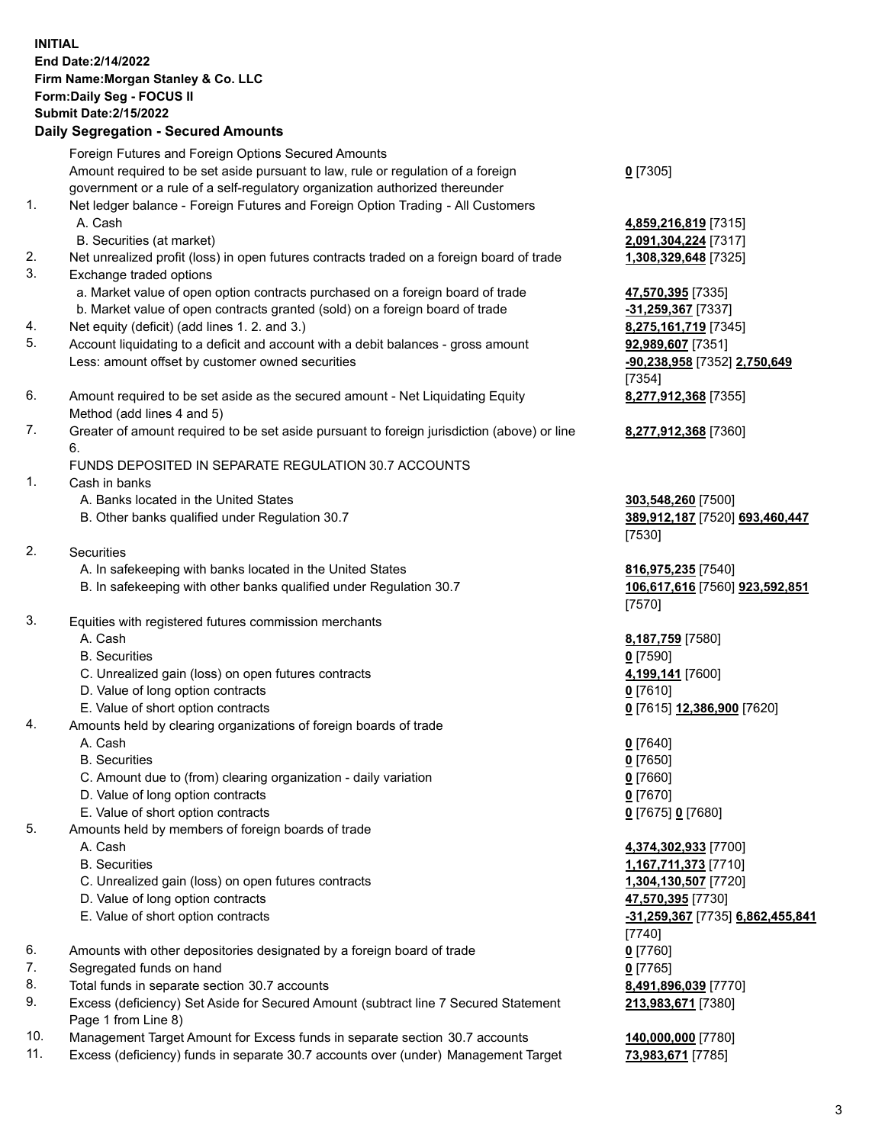## **INITIAL End Date:2/14/2022 Firm Name:Morgan Stanley & Co. LLC Form:Daily Seg - FOCUS II Submit Date:2/15/2022 Daily Segregation - Secured Amounts** Foreign Futures and Foreign Options Secured Amounts Amount required to be set aside pursuant to law, rule or regulation of a foreign government or a rule of a self-regulatory organization authorized thereunder **0** [7305] 1. Net ledger balance - Foreign Futures and Foreign Option Trading - All Customers A. Cash **4,859,216,819** [7315] B. Securities (at market) **2,091,304,224** [7317] 2. Net unrealized profit (loss) in open futures contracts traded on a foreign board of trade **1,308,329,648** [7325] 3. Exchange traded options a. Market value of open option contracts purchased on a foreign board of trade **47,570,395** [7335] b. Market value of open contracts granted (sold) on a foreign board of trade **-31,259,367** [7337] 4. Net equity (deficit) (add lines 1. 2. and 3.) **8,275,161,719** [7345] 5. Account liquidating to a deficit and account with a debit balances - gross amount **92,989,607** [7351] Less: amount offset by customer owned securities **-90,238,958** [7352] **2,750,649** [7354] 6. Amount required to be set aside as the secured amount - Net Liquidating Equity Method (add lines 4 and 5) **8,277,912,368** [7355] 7. Greater of amount required to be set aside pursuant to foreign jurisdiction (above) or line 6. **8,277,912,368** [7360] FUNDS DEPOSITED IN SEPARATE REGULATION 30.7 ACCOUNTS 1. Cash in banks A. Banks located in the United States **303,548,260** [7500] B. Other banks qualified under Regulation 30.7 **389,912,187** [7520] **693,460,447** [7530] 2. Securities A. In safekeeping with banks located in the United States **816,975,235** [7540] B. In safekeeping with other banks qualified under Regulation 30.7 **106,617,616** [7560] **923,592,851** [7570] 3. Equities with registered futures commission merchants A. Cash **8,187,759** [7580] B. Securities **0** [7590] C. Unrealized gain (loss) on open futures contracts **4,199,141** [7600] D. Value of long option contracts **0** [7610] E. Value of short option contracts **0** [7615] **12,386,900** [7620] 4. Amounts held by clearing organizations of foreign boards of trade A. Cash **0** [7640] B. Securities **0** [7650] C. Amount due to (from) clearing organization - daily variation **0** [7660] D. Value of long option contracts **0** [7670] E. Value of short option contracts **0** [7675] **0** [7680] 5. Amounts held by members of foreign boards of trade A. Cash **4,374,302,933** [7700] B. Securities **1,167,711,373** [7710] C. Unrealized gain (loss) on open futures contracts **1,304,130,507** [7720] D. Value of long option contracts **47,570,395** [7730] E. Value of short option contracts **-31,259,367** [7735] **6,862,455,841** [7740] 6. Amounts with other depositories designated by a foreign board of trade **0** [7760] 7. Segregated funds on hand **0** [7765] 8. Total funds in separate section 30.7 accounts **8,491,896,039** [7770]

- 9. Excess (deficiency) Set Aside for Secured Amount (subtract line 7 Secured Statement Page 1 from Line 8)
- 10. Management Target Amount for Excess funds in separate section 30.7 accounts **140,000,000** [7780]
- 11. Excess (deficiency) funds in separate 30.7 accounts over (under) Management Target **73,983,671** [7785]

**213,983,671** [7380]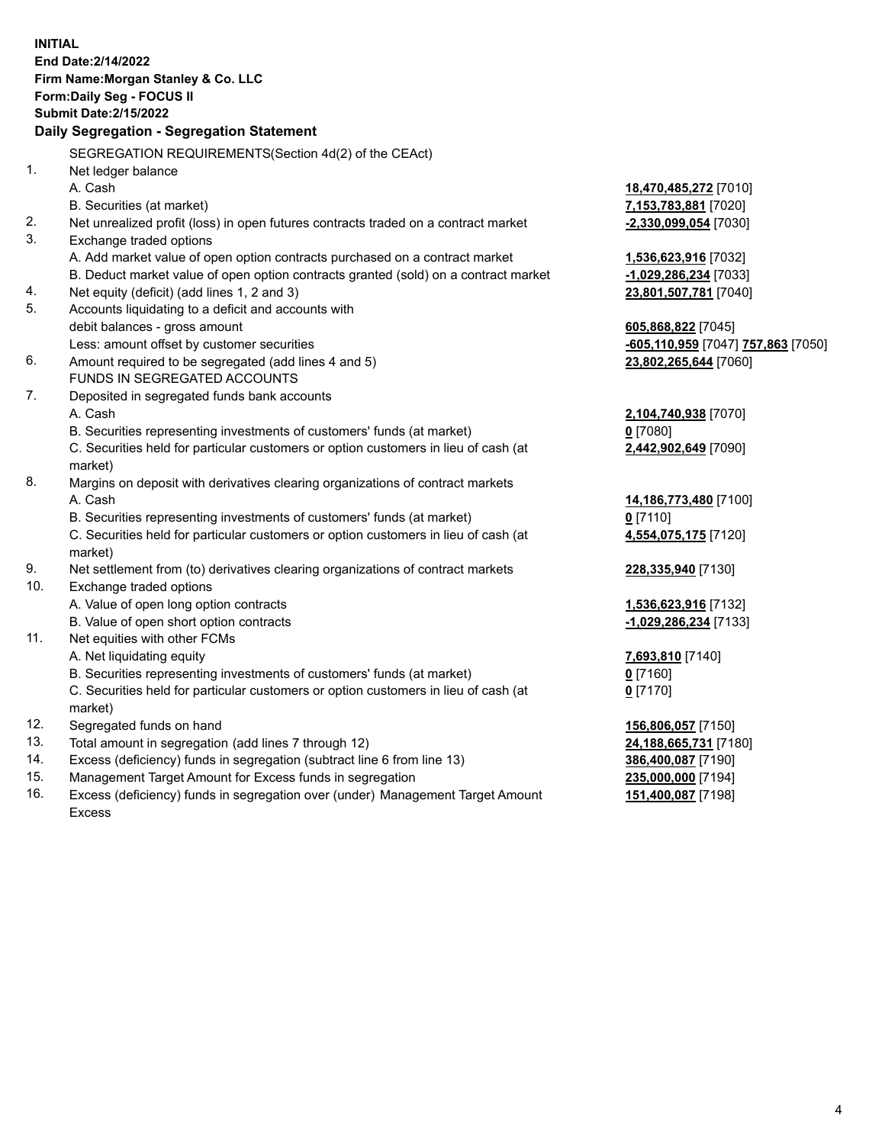**INITIAL End Date:2/14/2022 Firm Name:Morgan Stanley & Co. LLC Form:Daily Seg - FOCUS II Submit Date:2/15/2022 Daily Segregation - Segregation Statement** SEGREGATION REQUIREMENTS(Section 4d(2) of the CEAct) 1. Net ledger balance A. Cash **18,470,485,272** [7010] B. Securities (at market) **7,153,783,881** [7020] 2. Net unrealized profit (loss) in open futures contracts traded on a contract market **-2,330,099,054** [7030] 3. Exchange traded options A. Add market value of open option contracts purchased on a contract market **1,536,623,916** [7032] B. Deduct market value of open option contracts granted (sold) on a contract market **-1,029,286,234** [7033] 4. Net equity (deficit) (add lines 1, 2 and 3) **23,801,507,781** [7040] 5. Accounts liquidating to a deficit and accounts with debit balances - gross amount **605,868,822** [7045] Less: amount offset by customer securities **-605,110,959** [7047] **757,863** [7050] 6. Amount required to be segregated (add lines 4 and 5) **23,802,265,644** [7060] FUNDS IN SEGREGATED ACCOUNTS 7. Deposited in segregated funds bank accounts A. Cash **2,104,740,938** [7070] B. Securities representing investments of customers' funds (at market) **0** [7080] C. Securities held for particular customers or option customers in lieu of cash (at market) **2,442,902,649** [7090] 8. Margins on deposit with derivatives clearing organizations of contract markets A. Cash **14,186,773,480** [7100] B. Securities representing investments of customers' funds (at market) **0** [7110] C. Securities held for particular customers or option customers in lieu of cash (at market) **4,554,075,175** [7120] 9. Net settlement from (to) derivatives clearing organizations of contract markets **228,335,940** [7130] 10. Exchange traded options A. Value of open long option contracts **1,536,623,916** [7132] B. Value of open short option contracts **-1,029,286,234** [7133] 11. Net equities with other FCMs A. Net liquidating equity **7,693,810** [7140] B. Securities representing investments of customers' funds (at market) **0** [7160] C. Securities held for particular customers or option customers in lieu of cash (at market) **0** [7170] 12. Segregated funds on hand **156,806,057** [7150] 13. Total amount in segregation (add lines 7 through 12) **24,188,665,731** [7180] 14. Excess (deficiency) funds in segregation (subtract line 6 from line 13) **386,400,087** [7190] 15. Management Target Amount for Excess funds in segregation **235,000,000** [7194] 16. Excess (deficiency) funds in segregation over (under) Management Target Amount **151,400,087** [7198]

Excess